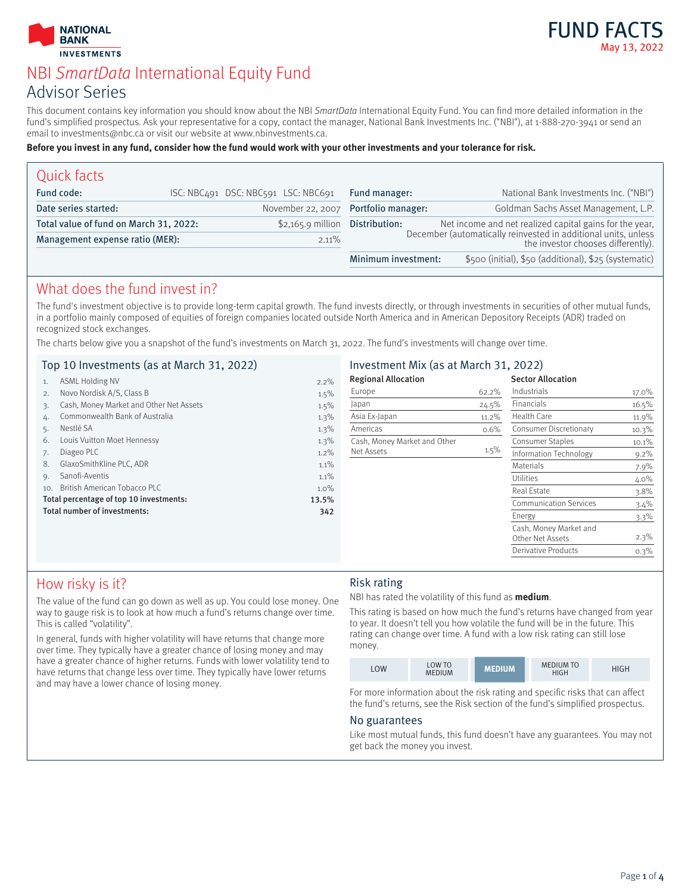

### **INVESTMENTS** NBI SmartData International Equity Fund Advisor Series

This document contains key information you should know about the NBI SmartData International Equity Fund. You can find more detailed information in the fund's simplified prospectus. Ask your representative for a copy, contact the manager, National Bank Investments Inc. ("NBI"), at 1-888-270-3941 or send an email to investments@nbc.ca or visit our website at www.nbinvestments.ca.

#### **Before you invest in any fund, consider how the fund would work with your other investments and your tolerance for risk.**

| Quick facts                            |                                     |                     |                                                                                                      |
|----------------------------------------|-------------------------------------|---------------------|------------------------------------------------------------------------------------------------------|
| Fund code:                             | ISC: NBC491 DSC: NBC591 LSC: NBC691 | Fund manager:       | National Bank Investments Inc. ("NBI")                                                               |
| Date series started:                   | November 22, 2007                   | Portfolio manager:  | Goldman Sachs Asset Management, L.P.                                                                 |
| Total value of fund on March 31, 2022: | $$2,165.9$ million                  | Distribution:       | Net income and net realized capital gains for the year,                                              |
| Management expense ratio (MER):        | $2.11\%$                            |                     | December (automatically reinvested in additional units, unless<br>the investor chooses differently). |
|                                        |                                     | Minimum investment: | \$500 (initial), \$50 (additional), \$25 (systematic)                                                |

### What does the fund invest in?

**NATIONAL BANK** 

The fund's investment objective is to provide long-term capital growth. The fund invests directly, or through investments in securities of other mutual funds, in a portfolio mainly composed of equities of foreign companies located outside North America and in American Depository Receipts (ADR) traded on recognized stock exchanges.

The charts below give you a snapshot of the fund's investments on March 31, 2022. The fund's investments will change over time.

|     | Top 10 Investments (as at March 31, 2022) |         | Investment Mix (as at March 31, 2022) |          |                               |         |
|-----|-------------------------------------------|---------|---------------------------------------|----------|-------------------------------|---------|
|     | <b>ASML Holding NV</b>                    | $2.2\%$ | <b>Regional Allocation</b>            |          | <b>Sector Allocation</b>      |         |
|     | Novo Nordisk A/S, Class B                 | 1.5%    | Europe                                | 62.2%    | Industrials                   | 17.0%   |
|     | Cash, Money Market and Other Net Assets   | 1.5%    | Japan                                 | 24.5%    | <b>Financials</b>             | 16.5%   |
|     | Commonwealth Bank of Australia            | 1.3%    | Asia Ex-Japan                         | $11.2\%$ | Health Care                   | 11.9%   |
|     | Nestlé SA                                 | 1.3%    | Americas                              | 0.6%     | Consumer Discretionary        | 10.3%   |
| 6.  | Louis Vuitton Moet Hennessy               | 1.3%    | Cash, Money Market and Other          |          | <b>Consumer Staples</b>       | 10.1%   |
|     | Diageo PLC                                | 1.2%    | Net Assets                            | $1.5\%$  | Information Technology        | $9.2\%$ |
| 8.  | GlaxoSmithKline PLC, ADR                  | 1.1%    |                                       |          | <b>Materials</b>              | 7.9%    |
| 9.  | Sanofi-Aventis                            | 1.1%    |                                       |          | <b>Utilities</b>              | 4.0%    |
| 10. | British American Tobacco PLC              | $1.0\%$ |                                       |          | Real Estate                   | $3.8\%$ |
|     | Total percentage of top 10 investments:   | 13.5%   |                                       |          | <b>Communication Services</b> | 3.4%    |
|     | Total number of investments:              | 342     |                                       |          | Energy                        | $3.3\%$ |
|     |                                           |         |                                       |          | Cash, Money Market and        |         |
|     |                                           |         |                                       |          | Other Net Assets              | $2.3\%$ |
|     |                                           |         |                                       |          | <b>Derivative Products</b>    | 0.3%    |

### How risky is it?

The value of the fund can go down as well as up. You could lose money. One way to gauge risk is to look at how much a fund's returns change over time. This is called "volatility".

In general, funds with higher volatility will have returns that change more over time. They typically have a greater chance of losing money and may have a greater chance of higher returns. Funds with lower volatility tend to have returns that change less over time. They typically have lower returns and may have a lower chance of losing money.

### Risk rating

NBI has rated the volatility of this fund as **medium**.

This rating is based on how much the fund's returns have changed from year to year. It doesn't tell you how volatile the fund will be in the future. This rating can change over time. A fund with a low risk rating can still lose money.

| LOW | <b>LOW TO</b><br><b>MEDIUM</b> | MEDIUM | <b>MEDIUM TO</b><br>HIGH | ዘGH |
|-----|--------------------------------|--------|--------------------------|-----|

For more information about the risk rating and specific risks that can affect the fund's returns, see the Risk section of the fund's simplified prospectus.

#### No guarantees

Like most mutual funds, this fund doesn't have any guarantees. You may not get back the money you invest.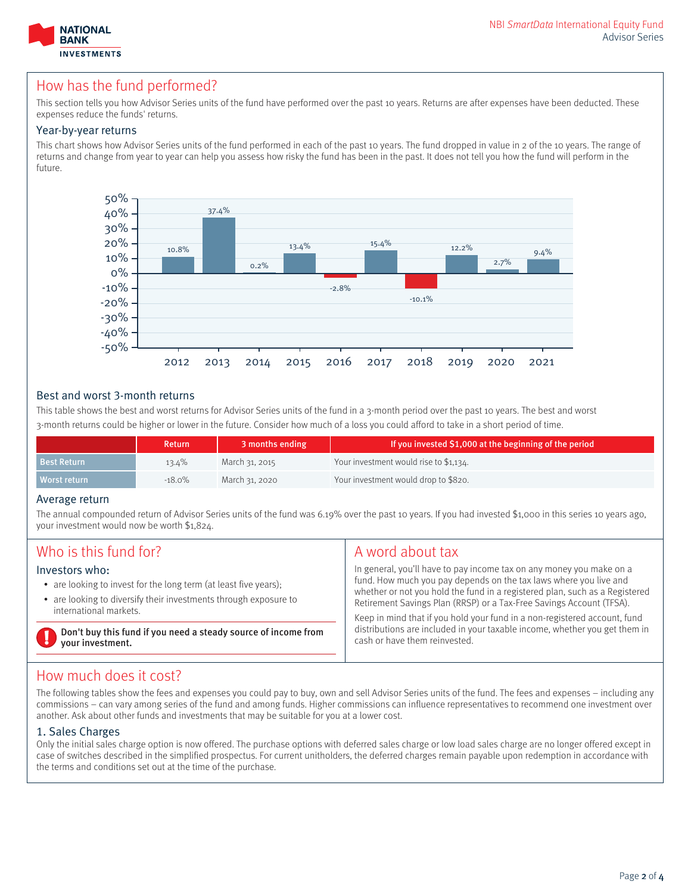

### How has the fund performed?

This section tells you how Advisor Series units of the fund have performed over the past 10 years. Returns are after expenses have been deducted. These expenses reduce the funds' returns.

#### Year-by-year returns

This chart shows how Advisor Series units of the fund performed in each of the past 10 years. The fund dropped in value in 2 of the 10 years. The range of returns and change from year to year can help you assess how risky the fund has been in the past. It does not tell you how the fund will perform in the future.



#### Best and worst 3-month returns

This table shows the best and worst returns for Advisor Series units of the fund in a 3-month period over the past 10 years. The best and worst 3-month returns could be higher or lower in the future. Consider how much of a loss you could afford to take in a short period of time.

|                    | <b>Return</b> | 3 months ending | If you invested \$1,000 at the beginning of the period |
|--------------------|---------------|-----------------|--------------------------------------------------------|
| <b>Best Return</b> | $13.4\%$      | March 31, 2015  | Your investment would rise to \$1,134.                 |
| Worst return       | $-18.0\%$     | March 31, 2020  | Your investment would drop to \$820.                   |

#### Average return

The annual compounded return of Advisor Series units of the fund was 6.19% over the past 10 years. If you had invested \$1,000 in this series 10 years ago, your investment would now be worth \$1,824.

| Who is this fund for?                                                                                                                                                            | A word about tax                                                                                                                                                                                                                                                                                                                                                                                                                                                                             |  |
|----------------------------------------------------------------------------------------------------------------------------------------------------------------------------------|----------------------------------------------------------------------------------------------------------------------------------------------------------------------------------------------------------------------------------------------------------------------------------------------------------------------------------------------------------------------------------------------------------------------------------------------------------------------------------------------|--|
| Investors who:<br>• are looking to invest for the long term (at least five years);<br>• are looking to diversify their investments through exposure to<br>international markets. | In general, you'll have to pay income tax on any money you make on a<br>fund. How much you pay depends on the tax laws where you live and<br>whether or not you hold the fund in a registered plan, such as a Registered<br>Retirement Savings Plan (RRSP) or a Tax-Free Savings Account (TFSA).<br>Keep in mind that if you hold your fund in a non-registered account, fund<br>distributions are included in your taxable income, whether you get them in<br>cash or have them reinvested. |  |
| Don't buy this fund if you need a steady source of income from<br>your investment.                                                                                               |                                                                                                                                                                                                                                                                                                                                                                                                                                                                                              |  |

### How much does it cost?

The following tables show the fees and expenses you could pay to buy, own and sell Advisor Series units of the fund. The fees and expenses – including any commissions – can vary among series of the fund and among funds. Higher commissions can influence representatives to recommend one investment over another. Ask about other funds and investments that may be suitable for you at a lower cost.

### 1. Sales Charges

Only the initial sales charge option is now offered. The purchase options with deferred sales charge or low load sales charge are no longer offered except in case of switches described in the simplified prospectus. For current unitholders, the deferred charges remain payable upon redemption in accordance with the terms and conditions set out at the time of the purchase.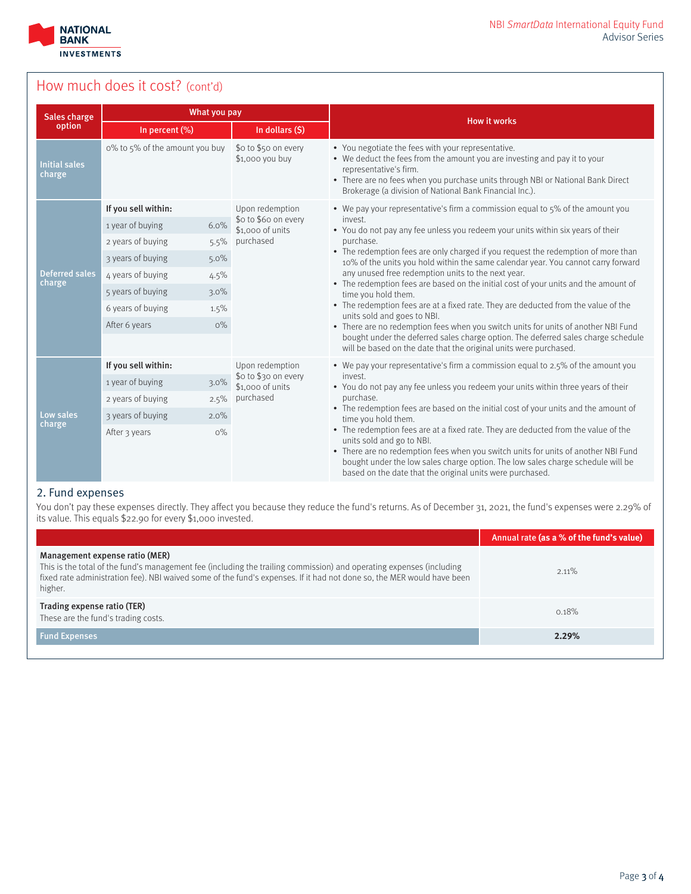

# How much does it cost? (cont'd)

| <b>Sales charge</b>             | What you pay                   |                                          |                                                                                                                                                                                                                                                                                                                                                                                                                                                                                  |  |  |  |
|---------------------------------|--------------------------------|------------------------------------------|----------------------------------------------------------------------------------------------------------------------------------------------------------------------------------------------------------------------------------------------------------------------------------------------------------------------------------------------------------------------------------------------------------------------------------------------------------------------------------|--|--|--|
| option                          | In percent (%)                 | In dollars (\$)                          | <b>How it works</b>                                                                                                                                                                                                                                                                                                                                                                                                                                                              |  |  |  |
| <b>Initial sales</b><br>charge  | o% to 5% of the amount you buy | \$o to \$50 on every<br>\$1,000 you buy  | • You negotiate the fees with your representative.<br>• We deduct the fees from the amount you are investing and pay it to your<br>representative's firm.<br>• There are no fees when you purchase units through NBI or National Bank Direct<br>Brokerage (a division of National Bank Financial Inc.).                                                                                                                                                                          |  |  |  |
|                                 | If you sell within:            | Upon redemption                          | • We pay your representative's firm a commission equal to $5\%$ of the amount you                                                                                                                                                                                                                                                                                                                                                                                                |  |  |  |
|                                 | 1 year of buying<br>6.0%       | \$o to \$6o on every<br>\$1,000 of units | invest.<br>• You do not pay any fee unless you redeem your units within six years of their<br>purchase.                                                                                                                                                                                                                                                                                                                                                                          |  |  |  |
|                                 | 2 years of buying<br>5.5%      | purchased                                |                                                                                                                                                                                                                                                                                                                                                                                                                                                                                  |  |  |  |
|                                 | 3 years of buying<br>$5.0\%$   |                                          | • The redemption fees are only charged if you request the redemption of more than<br>10% of the units you hold within the same calendar year. You cannot carry forward                                                                                                                                                                                                                                                                                                           |  |  |  |
| <b>Deferred sales</b><br>charge | 4 years of buying<br>4.5%      |                                          | any unused free redemption units to the next year.<br>• The redemption fees are based on the initial cost of your units and the amount of<br>time you hold them.<br>• The redemption fees are at a fixed rate. They are deducted from the value of the<br>units sold and goes to NBI.                                                                                                                                                                                            |  |  |  |
|                                 | 5 years of buying<br>3.0%      |                                          |                                                                                                                                                                                                                                                                                                                                                                                                                                                                                  |  |  |  |
|                                 | 6 years of buying<br>1.5%      |                                          |                                                                                                                                                                                                                                                                                                                                                                                                                                                                                  |  |  |  |
|                                 | After 6 years<br>O%            |                                          | • There are no redemption fees when you switch units for units of another NBI Fund                                                                                                                                                                                                                                                                                                                                                                                               |  |  |  |
|                                 |                                |                                          | bought under the deferred sales charge option. The deferred sales charge schedule<br>will be based on the date that the original units were purchased.                                                                                                                                                                                                                                                                                                                           |  |  |  |
|                                 | If you sell within:            | Upon redemption                          | • We pay your representative's firm a commission equal to 2.5% of the amount you                                                                                                                                                                                                                                                                                                                                                                                                 |  |  |  |
|                                 | 1 year of buying<br>3.0%       | \$0 to \$30 on every<br>\$1,000 of units | invest.<br>• You do not pay any fee unless you redeem your units within three years of their                                                                                                                                                                                                                                                                                                                                                                                     |  |  |  |
|                                 | 2 years of buying<br>2.5%      | purchased                                | purchase.<br>• The redemption fees are based on the initial cost of your units and the amount of<br>time you hold them.<br>• The redemption fees are at a fixed rate. They are deducted from the value of the<br>units sold and go to NBI.<br>• There are no redemption fees when you switch units for units of another NBI Fund<br>bought under the low sales charge option. The low sales charge schedule will be<br>based on the date that the original units were purchased. |  |  |  |
| Low sales<br>charge             | 3 years of buying<br>2.0%      |                                          |                                                                                                                                                                                                                                                                                                                                                                                                                                                                                  |  |  |  |
|                                 | After 3 years<br>$O\%$         |                                          |                                                                                                                                                                                                                                                                                                                                                                                                                                                                                  |  |  |  |

### 2. Fund expenses

You don't pay these expenses directly. They affect you because they reduce the fund's returns. As of December 31, 2021, the fund's expenses were 2.29% of its value. This equals \$22.90 for every \$1,000 invested.

|                                                                                                                                                                                                                                                                                             | Annual rate (as a % of the fund's value) |
|---------------------------------------------------------------------------------------------------------------------------------------------------------------------------------------------------------------------------------------------------------------------------------------------|------------------------------------------|
| Management expense ratio (MER)<br>This is the total of the fund's management fee (including the trailing commission) and operating expenses (including<br>fixed rate administration fee). NBI waived some of the fund's expenses. If it had not done so, the MER would have been<br>higher. | $2.11\%$                                 |
| Trading expense ratio (TER)<br>These are the fund's trading costs.                                                                                                                                                                                                                          | 0.18%                                    |
| <b>Fund Expenses</b>                                                                                                                                                                                                                                                                        | 2.29%                                    |